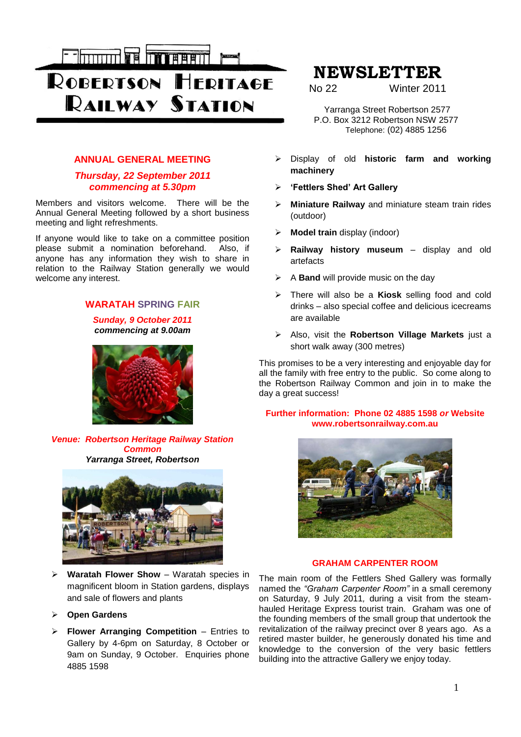

# **ANNUAL GENERAL MEETING**

# *Thursday, 22 September 2011 commencing at 5.30pm*

Members and visitors welcome. There will be the Annual General Meeting followed by a short business meeting and light refreshments.

If anyone would like to take on a committee position please submit a nomination beforehand. Also, if anyone has any information they wish to share in relation to the Railway Station generally we would welcome any interest.

# **WARATAH SPRING FAIR**

*Sunday, 9 October 2011 commencing at 9.00am*



*Venue: Robertson Heritage Railway Station Common Yarranga Street, Robertson*



- **Waratah Flower Show** Waratah species in magnificent bloom in Station gardens, displays and sale of flowers and plants
- **Open Gardens**
- **Flower Arranging Competition** Entries to Gallery by 4-6pm on Saturday, 8 October or 9am on Sunday, 9 October. Enquiries phone 4885 1598

# **NEWSLETTER**

No 22 Winter 2011

 Yarranga Street Robertson 2577 P.O. Box 3212 Robertson NSW 2577 Telephone: (02) 4885 1256

- Display of old **historic farm and working machinery**
- **'Fettlers Shed' Art Gallery**
- **Miniature Railway** and miniature steam train rides (outdoor)
- **Model train** display (indoor)
- **Railway history museum** display and old artefacts
- A **Band** will provide music on the day
- There will also be a **Kiosk** selling food and cold drinks – also special coffee and delicious icecreams are available
- Also, visit the **Robertson Village Markets** just a short walk away (300 metres)

This promises to be a very interesting and enjoyable day for all the family with free entry to the public. So come along to the Robertson Railway Common and join in to make the day a great success!

## **Further information: Phone 02 4885 1598** *or* **Website www.robertsonrailway.com.au**



## **GRAHAM CARPENTER ROOM**

The main room of the Fettlers Shed Gallery was formally named the *"Graham Carpenter Room"* in a small ceremony on Saturday, 9 July 2011*,* during a visit from the steamhauled Heritage Express tourist train. Graham was one of the founding members of the small group that undertook the revitalization of the railway precinct over 8 years ago. As a retired master builder, he generously donated his time and knowledge to the conversion of the very basic fettlers building into the attractive Gallery we enjoy today.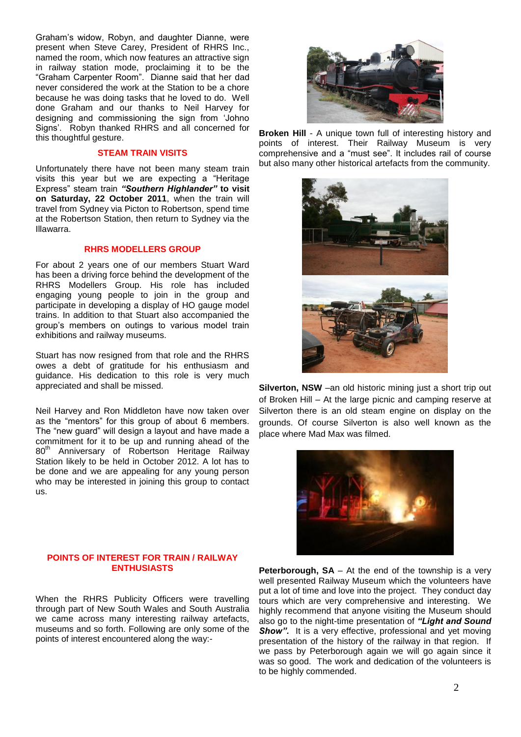Graham"s widow, Robyn, and daughter Dianne, were present when Steve Carey, President of RHRS Inc., named the room, which now features an attractive sign in railway station mode, proclaiming it to be the "Graham Carpenter Room". Dianne said that her dad never considered the work at the Station to be a chore because he was doing tasks that he loved to do. Well done Graham and our thanks to Neil Harvey for designing and commissioning the sign from "Johno Signs'. Robyn thanked RHRS and all concerned for this thoughtful gesture.

#### **STEAM TRAIN VISITS**

Unfortunately there have not been many steam train visits this year but we are expecting a "Heritage Express" steam train *"Southern Highlander"* **to visit on Saturday, 22 October 2011**, when the train will travel from Sydney via Picton to Robertson, spend time at the Robertson Station, then return to Sydney via the Illawarra.

#### **RHRS MODELLERS GROUP**

For about 2 years one of our members Stuart Ward has been a driving force behind the development of the RHRS Modellers Group. His role has included engaging young people to join in the group and participate in developing a display of HO gauge model trains. In addition to that Stuart also accompanied the group"s members on outings to various model train exhibitions and railway museums.

Stuart has now resigned from that role and the RHRS owes a debt of gratitude for his enthusiasm and guidance. His dedication to this role is very much appreciated and shall be missed.

Neil Harvey and Ron Middleton have now taken over as the "mentors" for this group of about 6 members. The "new guard" will design a layout and have made a commitment for it to be up and running ahead of the 80<sup>th</sup> Anniversary of Robertson Heritage Railway Station likely to be held in October 2012. A lot has to be done and we are appealing for any young person who may be interested in joining this group to contact us.

#### **POINTS OF INTEREST FOR TRAIN / RAILWAY ENTHUSIASTS**

When the RHRS Publicity Officers were travelling through part of New South Wales and South Australia we came across many interesting railway artefacts, museums and so forth. Following are only some of the points of interest encountered along the way:-



**Broken Hill** - A unique town full of interesting history and points of interest. Their Railway Museum is very comprehensive and a "must see". It includes rail of course but also many other historical artefacts from the community.



**Silverton, NSW** –an old historic mining just a short trip out of Broken Hill – At the large picnic and camping reserve at Silverton there is an old steam engine on display on the grounds. Of course Silverton is also well known as the place where Mad Max was filmed.



**Peterborough, SA** – At the end of the township is a very well presented Railway Museum which the volunteers have put a lot of time and love into the project. They conduct day tours which are very comprehensive and interesting. We highly recommend that anyone visiting the Museum should also go to the night-time presentation of *"Light and Sound*  **Show".** It is a very effective, professional and yet moving presentation of the history of the railway in that region. If we pass by Peterborough again we will go again since it was so good. The work and dedication of the volunteers is to be highly commended.